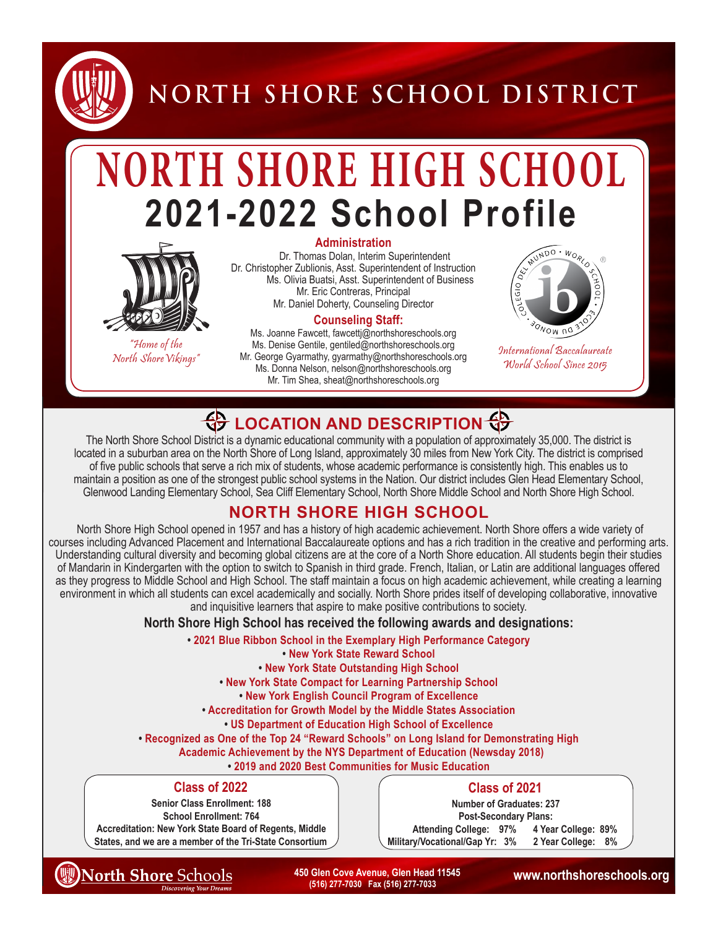

**NORTH SHORE SCHOOL DISTRICT**

# **NORTH SHORE HIGH SCHOOL 2021-2022 School Profile**



"Home of the"<br>"North Shore Vikings

#### **Administration**

Dr. Thomas Dolan, Interim Superintendent Dr. Christopher Zublionis, Asst. Superintendent of Instruction Ms. Olivia Buatsi, Asst. Superintendent of Business Mr. Eric Contreras, Principal Mr. Daniel Doherty, Counseling Director

#### **Counseling Staff:**

North Shore Vikings" **International Baccalaureate**<br>North Shore Vikings" Mr. George Gyarmathy, gyarmathy@northshoreschools.org *Morth Shore Vikings* 2015 Ms. Joanne Fawcett, fawcettj@northshoreschools.org Ms. Denise Gentile, gentiled@northshoreschools.org Ms. Donna Nelson, nelson@northshoreschools.org Mr. Tim Shea, sheat@northshoreschools.org



World School Since 2015

### **LOCATION AND DESCRIPTION**

The North Shore School District is a dynamic educational community with a population of approximately 35,000. The district is located in a suburban area on the North Shore of Long Island, approximately 30 miles from New York City. The district is comprised of five public schools that serve a rich mix of students, whose academic performance is consistently high. This enables us to maintain a position as one of the strongest public school systems in the Nation. Our district includes Glen Head Elementary School, Glenwood Landing Elementary School, Sea Cliff Elementary School, North Shore Middle School and North Shore High School.

### **NORTH SHORE HIGH SCHOOL**

 North Shore High School opened in 1957 and has a history of high academic achievement. North Shore offers a wide variety of courses including Advanced Placement and International Baccalaureate options and has a rich tradition in the creative and performing arts. Understanding cultural diversity and becoming global citizens are at the core of a North Shore education. All students begin their studies of Mandarin in Kindergarten with the option to switch to Spanish in third grade. French, Italian, or Latin are additional languages offered as they progress to Middle School and High School. The staff maintain a focus on high academic achievement, while creating a learning environment in which all students can excel academically and socially. North Shore prides itself of developing collaborative, innovative and inquisitive learners that aspire to make positive contributions to society.

**North Shore High School has received the following awards and designations:**

**• 2021 Blue Ribbon School in the Exemplary High Performance Category** 

**• New York State Reward School**

- **New York State Outstanding High School**
- **New York State Compact for Learning Partnership School**
	- **New York English Council Program of Excellence**
- **Accreditation for Growth Model by the Middle States Association**
	- **US Department of Education High School of Excellence**
- **• Recognized as One of the Top 24 "Reward Schools" on Long Island for Demonstrating High** 
	- **Academic Achievement by the NYS Department of Education (Newsday 2018)**
		- **2019 and 2020 Best Communities for Music Education**

### **Class of 2022**

**Senior Class Enrollment: 188 School Enrollment: 764 Accreditation: New York State Board of Regents, Middle States, and we are a member of the Tri-State Consortium**

### **Class of 2021**

**Number of Graduates: 237 Post-Secondary Plans: Attending College: 97% 4 Year College: 89% Military/Vocational/Gap Yr: 3% 2 Year College: 8%** 

**North Shore Schools** 

 **450 Glen Cove Avenue, Glen Head 11545 www.northshoreschools.org (516) 277-7030 Fax (516) 277-7033**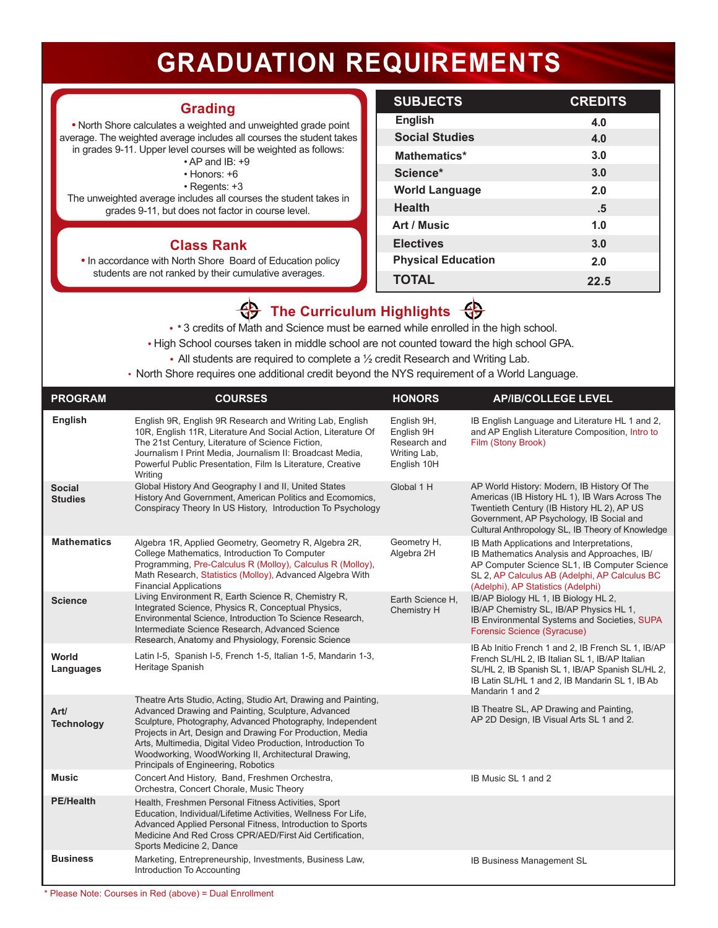## **GRADUATION REQUIREMENTS**

### **Grading**

 **•** North Shore calculates a weighted and unweighted grade point average. The weighted average includes all courses the student takes in grades 9-11. Upper level courses will be weighted as follows:

- AP and IB: +9
	- Honors: +6
	- Regents: +3

The unweighted average includes all courses the student takes in grades 9-11, but does not factor in course level.

### **Class Rank**

**•** In accordance with North Shore Board of Education policy students are not ranked by their cumulative averages.

| <b>SUBJECTS</b>           | <b>CREDITS</b> |
|---------------------------|----------------|
| <b>English</b>            | 4.0            |
| <b>Social Studies</b>     | 4.0            |
| Mathematics*              | 3.0            |
| Science*                  | 3.0            |
| <b>World Language</b>     | 2.0            |
| <b>Health</b>             | .5             |
| Art / Music               | 1.0            |
| <b>Electives</b>          | 3.0            |
| <b>Physical Education</b> | 2.0            |
| <b>TOTAL</b>              | 22.5           |

### **The Curriculum Highlights**

 **• \*** 3 credits of Math and Science must be earned while enrolled in the high school.

- High School courses taken in middle school are not counted toward the high school GPA.
	- **•** All students are required to complete a ½ credit Research and Writing Lab.
- North Shore requires one additional credit beyond the NYS requirement of a World Language.

| <b>PROGRAM</b>                  | <b>COURSES</b>                                                                                                                                                                                                                                                                                                                                                                                              | <b>HONORS</b>                                                            | <b>AP/IB/COLLEGE LEVEL</b>                                                                                                                                                                                                                  |
|---------------------------------|-------------------------------------------------------------------------------------------------------------------------------------------------------------------------------------------------------------------------------------------------------------------------------------------------------------------------------------------------------------------------------------------------------------|--------------------------------------------------------------------------|---------------------------------------------------------------------------------------------------------------------------------------------------------------------------------------------------------------------------------------------|
| <b>English</b>                  | English 9R, English 9R Research and Writing Lab, English<br>10R, English 11R, Literature And Social Action, Literature Of<br>The 21st Century, Literature of Science Fiction,<br>Journalism I Print Media, Journalism II: Broadcast Media,<br>Powerful Public Presentation, Film Is Literature, Creative<br>Writing                                                                                         | English 9H,<br>English 9H<br>Research and<br>Writing Lab,<br>English 10H | IB English Language and Literature HL 1 and 2,<br>and AP English Literature Composition, Intro to<br>Film (Stony Brook)                                                                                                                     |
| <b>Social</b><br><b>Studies</b> | Global History And Geography I and II, United States<br>History And Government, American Politics and Ecomomics,<br>Conspiracy Theory In US History, Introduction To Psychology                                                                                                                                                                                                                             | Global 1 H                                                               | AP World History: Modern, IB History Of The<br>Americas (IB History HL 1), IB Wars Across The<br>Twentieth Century (IB History HL 2), AP US<br>Government, AP Psychology, IB Social and<br>Cultural Anthropology SL, IB Theory of Knowledge |
| <b>Mathematics</b>              | Algebra 1R, Applied Geometry, Geometry R, Algebra 2R,<br>College Mathematics, Introduction To Computer<br>Programming, Pre-Calculus R (Molloy), Calculus R (Molloy),<br>Math Research, Statistics (Molloy), Advanced Algebra With<br><b>Financial Applications</b>                                                                                                                                          | Geometry H,<br>Algebra 2H                                                | IB Math Applications and Interpretations,<br>IB Mathematics Analysis and Approaches, IB/<br>AP Computer Science SL1, IB Computer Science<br>SL 2, AP Calculus AB (Adelphi, AP Calculus BC<br>(Adelphi), AP Statistics (Adelphi)             |
| <b>Science</b>                  | Living Environment R, Earth Science R, Chemistry R,<br>Integrated Science, Physics R, Conceptual Physics,<br>Environmental Science, Introduction To Science Research,<br>Intermediate Science Research, Advanced Science<br>Research, Anatomy and Physiology, Forensic Science                                                                                                                              | Earth Science H,<br>Chemistry H                                          | IB/AP Biology HL 1, IB Biology HL 2,<br>IB/AP Chemistry SL, IB/AP Physics HL 1,<br>IB Environmental Systems and Societies, SUPA<br><b>Forensic Science (Syracuse)</b>                                                                       |
| World<br>Languages              | Latin I-5, Spanish I-5, French 1-5, Italian 1-5, Mandarin 1-3,<br>Heritage Spanish                                                                                                                                                                                                                                                                                                                          |                                                                          | IB Ab Initio French 1 and 2, IB French SL 1, IB/AP<br>French SL/HL 2, IB Italian SL 1, IB/AP Italian<br>SL/HL 2, IB Spanish SL 1, IB/AP Spanish SL/HL 2,<br>IB Latin SL/HL 1 and 2, IB Mandarin SL 1, IB Ab<br>Mandarin 1 and 2             |
| Art/<br><b>Technology</b>       | Theatre Arts Studio, Acting, Studio Art, Drawing and Painting,<br>Advanced Drawing and Painting, Sculpture, Advanced<br>Sculpture, Photography, Advanced Photography, Independent<br>Projects in Art, Design and Drawing For Production, Media<br>Arts, Multimedia, Digital Video Production, Introduction To<br>Woodworking, WoodWorking II, Architectural Drawing,<br>Principals of Engineering, Robotics |                                                                          | IB Theatre SL, AP Drawing and Painting,<br>AP 2D Design, IB Visual Arts SL 1 and 2.                                                                                                                                                         |
| <b>Music</b>                    | Concert And History, Band, Freshmen Orchestra,<br>Orchestra, Concert Chorale, Music Theory                                                                                                                                                                                                                                                                                                                  |                                                                          | IB Music SL 1 and 2                                                                                                                                                                                                                         |
| <b>PE/Health</b>                | Health, Freshmen Personal Fitness Activities, Sport<br>Education, Individual/Lifetime Activities, Wellness For Life,<br>Advanced Applied Personal Fitness, Introduction to Sports<br>Medicine And Red Cross CPR/AED/First Aid Certification,<br>Sports Medicine 2, Dance                                                                                                                                    |                                                                          |                                                                                                                                                                                                                                             |
| <b>Business</b>                 | Marketing, Entrepreneurship, Investments, Business Law,<br>Introduction To Accounting                                                                                                                                                                                                                                                                                                                       |                                                                          | IB Business Management SL                                                                                                                                                                                                                   |

\* Please Note: Courses in Red (above) = Dual Enrollment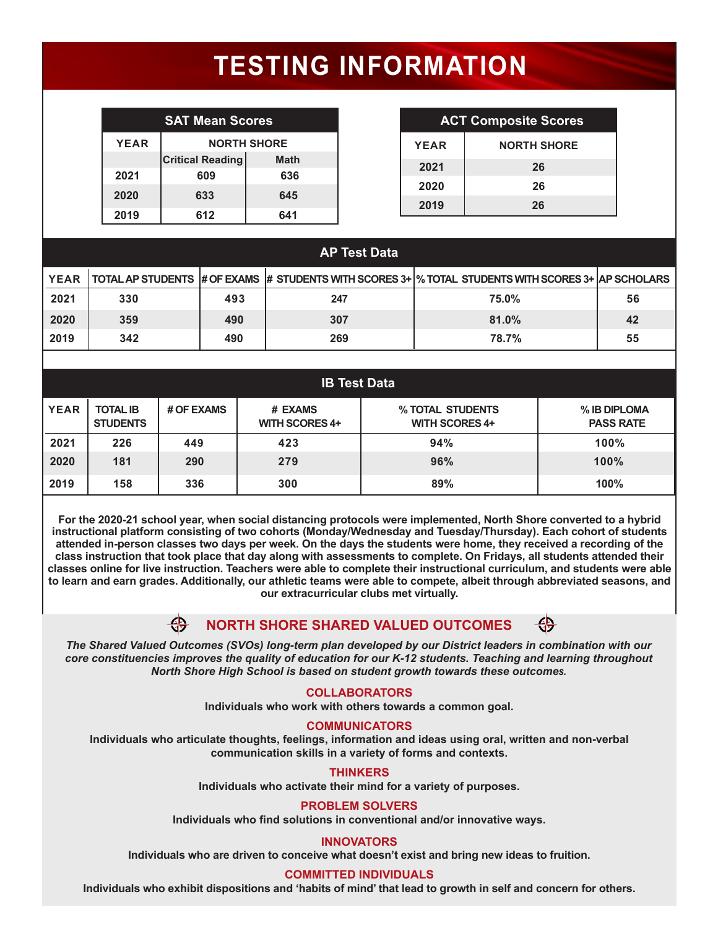# **TESTING INFORMATION**

| <b>SAT Mean Scores</b> |                         |             |  |
|------------------------|-------------------------|-------------|--|
| <b>YEAR</b>            | <b>NORTH SHORE</b>      |             |  |
|                        | <b>Critical Reading</b> | <b>Math</b> |  |
| 2021                   | 609                     | 636         |  |
| 2020                   | 633                     | 645         |  |
| 2019                   | 612                     | 641         |  |

| <b>SAT Mean Scores</b>  |                    |             | <b>ACT Composite Scores</b> |
|-------------------------|--------------------|-------------|-----------------------------|
|                         | <b>NORTH SHORE</b> | <b>YEAR</b> | <b>NORTH SHORE</b>          |
| <b>Critical Reading</b> | <b>Math</b>        | 2021        | 26                          |
| 609                     | 636                | 2020        | 26                          |
| 633<br>612              | 645<br>611         | 2019        | 26                          |

| <b>AP Test Data</b> |     |     |     |                                                                                                     |    |
|---------------------|-----|-----|-----|-----------------------------------------------------------------------------------------------------|----|
| <b>YEAR</b>         |     |     |     | TOTAL AP STUDENTS # OF EXAMS # STUDENTS WITH SCORES 3+  % TOTAL STUDENTS WITH SCORES 3+ AP SCHOLARS |    |
| 2021                | 330 | 493 | 247 | 75.0%                                                                                               | 56 |
| 2020                | 359 | 490 | 307 | 81.0%                                                                                               | 42 |
| 2019                | 342 | 490 | 269 | 78.7%                                                                                               | 55 |
|                     |     |     |     |                                                                                                     |    |

| <b>IB Test Data</b> |                                    |            |                                  |                                           |                                  |
|---------------------|------------------------------------|------------|----------------------------------|-------------------------------------------|----------------------------------|
| <b>YEAR</b>         | <b>TOTAL IB</b><br><b>STUDENTS</b> | # OF EXAMS | # EXAMS<br><b>WITH SCORES 4+</b> | % TOTAL STUDENTS<br><b>WITH SCORES 4+</b> | % IB DIPLOMA<br><b>PASS RATE</b> |
| 2021                | 226                                | 449        | 423                              | 94%                                       | 100%                             |
| 2020                | 181                                | 290        | 279                              | 96%                                       | 100%                             |
| 2019                | 158                                | 336        | 300                              | 89%                                       | 100%                             |

**For the 2020-21 school year, when social distancing protocols were implemented, North Shore converted to a hybrid instructional platform consisting of two cohorts (Monday/Wednesday and Tuesday/Thursday). Each cohort of students attended in-person classes two days per week. On the days the students were home, they received a recording of the class instruction that took place that day along with assessments to complete. On Fridays, all students attended their classes online for live instruction. Teachers were able to complete their instructional curriculum, and students were able to learn and earn grades. Additionally, our athletic teams were able to compete, albeit through abbreviated seasons, and our extracurricular clubs met virtually.**

#### \$ **NORTH SHORE SHARED VALUED OUTCOMES**

*The Shared Valued Outcomes (SVOs) long-term plan developed by our District leaders in combination with our core constituencies improves the quality of education for our K-12 students. Teaching and learning throughout North Shore High School is based on student growth towards these outcomes.*

### **COLLABORATORS**

**Individuals who work with others towards a common goal.**

### **COMMUNICATORS**

**Individuals who articulate thoughts, feelings, information and ideas using oral, written and non-verbal communication skills in a variety of forms and contexts.**

### **THINKERS**

**Individuals who activate their mind for a variety of purposes.**

### **PROBLEM SOLVERS**

**Individuals who find solutions in conventional and/or innovative ways.** 

### **INNOVATORS**

**Individuals who are driven to conceive what doesn't exist and bring new ideas to fruition.**

**COMMITTED INDIVIDUALS**<br>Individuals who exhibit dispositions and 'habits of mind' that lead to growth in self and concern for others.